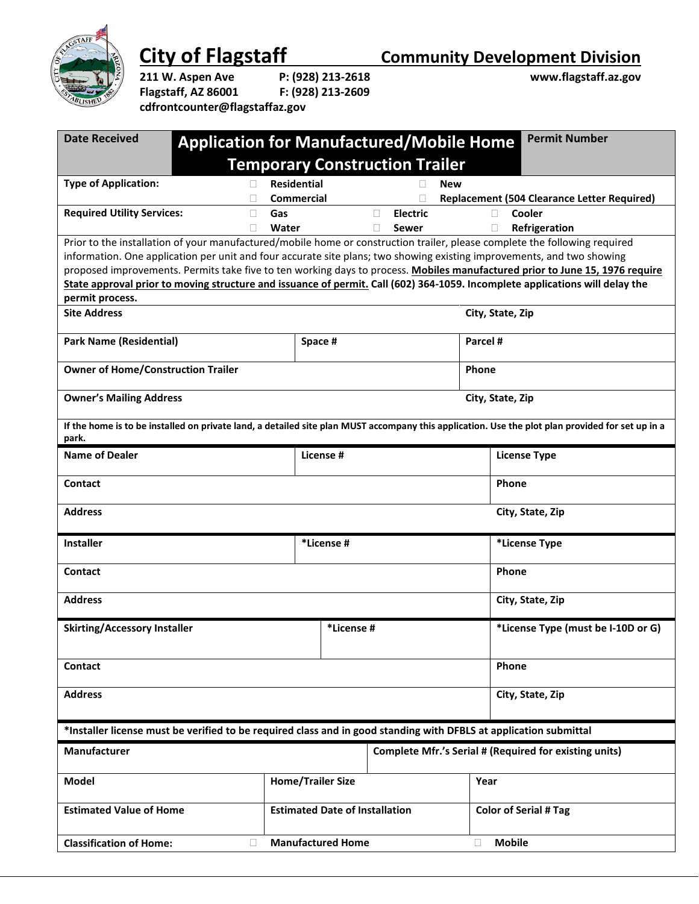

**City of Flagstaff Community Development Division**<br>211 W. Aspen Ave P: (928) 213-2618 **COMMUNICY CONSEGIST** 

**Flagstaff, AZ 86001 F: (928) 213-2609 cdfrontcounter@flagstaffaz.gov**

|  | P: (928) 213-261 |
|--|------------------|
|  | F: (928) 213-260 |

**211 W. Aspen Ave P: (928) 213-2618 www.flagstaff.az.gov**

| <b>Date Received</b>                                                                                                                                                                                                                                 | <b>Application for Manufactured/Mobile Home</b> |                                       |                          |                                       |                              | <b>Permit Number</b>                                                                                                                             |  |  |
|------------------------------------------------------------------------------------------------------------------------------------------------------------------------------------------------------------------------------------------------------|-------------------------------------------------|---------------------------------------|--------------------------|---------------------------------------|------------------------------|--------------------------------------------------------------------------------------------------------------------------------------------------|--|--|
|                                                                                                                                                                                                                                                      |                                                 |                                       |                          | <b>Temporary Construction Trailer</b> |                              |                                                                                                                                                  |  |  |
| <b>Type of Application:</b>                                                                                                                                                                                                                          | $\mathbf{L}$                                    | <b>Residential</b>                    |                          | <b>New</b>                            |                              |                                                                                                                                                  |  |  |
|                                                                                                                                                                                                                                                      |                                                 | <b>Commercial</b>                     |                          |                                       |                              | <b>Replacement (504 Clearance Letter Required)</b>                                                                                               |  |  |
| <b>Required Utility Services:</b>                                                                                                                                                                                                                    | Gas<br>□                                        |                                       |                          | <b>Electric</b><br>П                  | П                            | Cooler                                                                                                                                           |  |  |
|                                                                                                                                                                                                                                                      | П                                               | Water                                 |                          | П<br>Sewer                            | □                            | Refrigeration                                                                                                                                    |  |  |
| Prior to the installation of your manufactured/mobile home or construction trailer, please complete the following required<br>information. One application per unit and four accurate site plans; two showing existing improvements, and two showing |                                                 |                                       |                          |                                       |                              |                                                                                                                                                  |  |  |
| proposed improvements. Permits take five to ten working days to process. Mobiles manufactured prior to June 15, 1976 require                                                                                                                         |                                                 |                                       |                          |                                       |                              |                                                                                                                                                  |  |  |
|                                                                                                                                                                                                                                                      |                                                 |                                       |                          |                                       |                              | State approval prior to moving structure and issuance of permit. Call (602) 364-1059. Incomplete applications will delay the                     |  |  |
| permit process.                                                                                                                                                                                                                                      |                                                 |                                       |                          |                                       |                              |                                                                                                                                                  |  |  |
| <b>Site Address</b>                                                                                                                                                                                                                                  |                                                 |                                       |                          |                                       | City, State, Zip             |                                                                                                                                                  |  |  |
|                                                                                                                                                                                                                                                      |                                                 |                                       |                          |                                       |                              |                                                                                                                                                  |  |  |
| <b>Park Name (Residential)</b>                                                                                                                                                                                                                       |                                                 | Space #                               |                          |                                       | Parcel #                     |                                                                                                                                                  |  |  |
|                                                                                                                                                                                                                                                      |                                                 |                                       |                          |                                       |                              |                                                                                                                                                  |  |  |
| <b>Owner of Home/Construction Trailer</b>                                                                                                                                                                                                            |                                                 |                                       |                          |                                       | Phone                        |                                                                                                                                                  |  |  |
| <b>Owner's Mailing Address</b>                                                                                                                                                                                                                       |                                                 |                                       |                          |                                       | City, State, Zip             |                                                                                                                                                  |  |  |
|                                                                                                                                                                                                                                                      |                                                 |                                       |                          |                                       |                              |                                                                                                                                                  |  |  |
|                                                                                                                                                                                                                                                      |                                                 |                                       |                          |                                       |                              | If the home is to be installed on private land, a detailed site plan MUST accompany this application. Use the plot plan provided for set up in a |  |  |
| park.                                                                                                                                                                                                                                                |                                                 |                                       |                          |                                       |                              |                                                                                                                                                  |  |  |
| <b>Name of Dealer</b>                                                                                                                                                                                                                                |                                                 |                                       | License #                |                                       |                              | <b>License Type</b>                                                                                                                              |  |  |
|                                                                                                                                                                                                                                                      |                                                 |                                       |                          |                                       |                              |                                                                                                                                                  |  |  |
| Contact                                                                                                                                                                                                                                              |                                                 |                                       |                          |                                       |                              | Phone                                                                                                                                            |  |  |
|                                                                                                                                                                                                                                                      |                                                 |                                       |                          |                                       |                              |                                                                                                                                                  |  |  |
| <b>Address</b>                                                                                                                                                                                                                                       |                                                 |                                       |                          |                                       |                              | City, State, Zip                                                                                                                                 |  |  |
|                                                                                                                                                                                                                                                      |                                                 |                                       |                          |                                       |                              |                                                                                                                                                  |  |  |
| <b>Installer</b>                                                                                                                                                                                                                                     |                                                 |                                       | *License #               |                                       |                              | *License Type                                                                                                                                    |  |  |
| <b>Contact</b>                                                                                                                                                                                                                                       |                                                 |                                       |                          |                                       |                              | Phone                                                                                                                                            |  |  |
|                                                                                                                                                                                                                                                      |                                                 |                                       |                          |                                       |                              |                                                                                                                                                  |  |  |
| <b>Address</b>                                                                                                                                                                                                                                       |                                                 |                                       |                          |                                       |                              | City, State, Zip                                                                                                                                 |  |  |
|                                                                                                                                                                                                                                                      |                                                 |                                       |                          |                                       |                              |                                                                                                                                                  |  |  |
| <b>Skirting/Accessory Installer</b>                                                                                                                                                                                                                  |                                                 |                                       | *License #               |                                       |                              | *License Type (must be I-10D or G)                                                                                                               |  |  |
|                                                                                                                                                                                                                                                      |                                                 |                                       |                          |                                       |                              |                                                                                                                                                  |  |  |
| Contact                                                                                                                                                                                                                                              |                                                 |                                       |                          |                                       |                              | <b>Phone</b>                                                                                                                                     |  |  |
|                                                                                                                                                                                                                                                      |                                                 |                                       |                          |                                       |                              |                                                                                                                                                  |  |  |
| <b>Address</b>                                                                                                                                                                                                                                       |                                                 |                                       |                          |                                       | City, State, Zip             |                                                                                                                                                  |  |  |
|                                                                                                                                                                                                                                                      |                                                 |                                       |                          |                                       |                              |                                                                                                                                                  |  |  |
| *Installer license must be verified to be required class and in good standing with DFBLS at application submittal                                                                                                                                    |                                                 |                                       |                          |                                       |                              |                                                                                                                                                  |  |  |
|                                                                                                                                                                                                                                                      |                                                 |                                       |                          |                                       |                              |                                                                                                                                                  |  |  |
| <b>Manufacturer</b>                                                                                                                                                                                                                                  |                                                 |                                       |                          |                                       |                              | Complete Mfr.'s Serial # (Required for existing units)                                                                                           |  |  |
| Model                                                                                                                                                                                                                                                |                                                 | <b>Home/Trailer Size</b>              |                          |                                       | Year                         |                                                                                                                                                  |  |  |
|                                                                                                                                                                                                                                                      |                                                 |                                       |                          |                                       |                              |                                                                                                                                                  |  |  |
| <b>Estimated Value of Home</b>                                                                                                                                                                                                                       |                                                 | <b>Estimated Date of Installation</b> |                          |                                       | <b>Color of Serial # Tag</b> |                                                                                                                                                  |  |  |
|                                                                                                                                                                                                                                                      |                                                 |                                       |                          |                                       |                              |                                                                                                                                                  |  |  |
| <b>Classification of Home:</b>                                                                                                                                                                                                                       | П                                               |                                       | <b>Manufactured Home</b> |                                       | П                            | <b>Mobile</b>                                                                                                                                    |  |  |
|                                                                                                                                                                                                                                                      |                                                 |                                       |                          |                                       |                              |                                                                                                                                                  |  |  |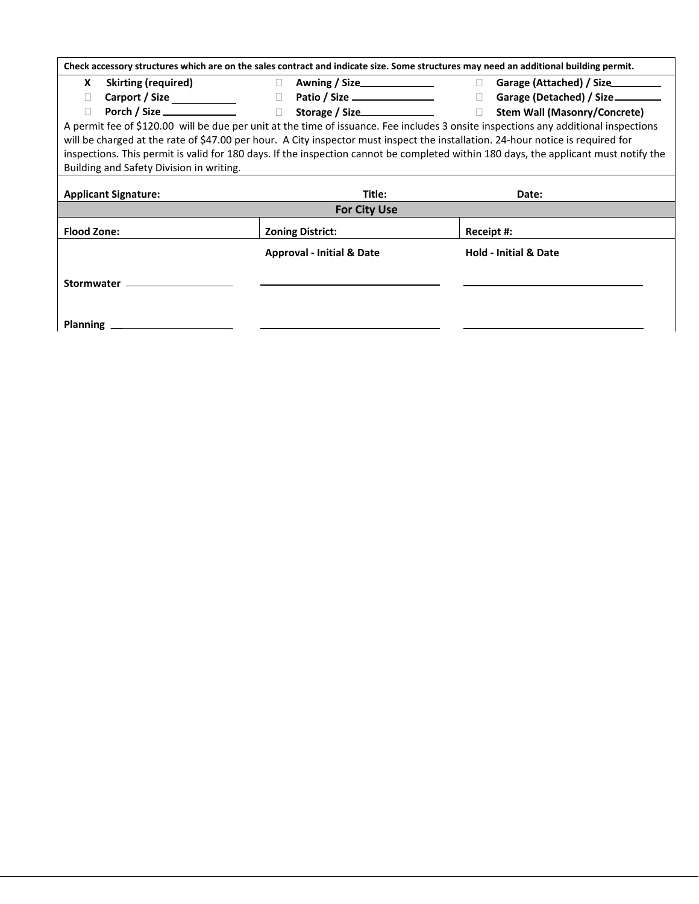|                    |                                                                                                                                 |                                                                                                    | Check accessory structures which are on the sales contract and indicate size. Some structures may need an additional building permit. |  |  |  |  |  |
|--------------------|---------------------------------------------------------------------------------------------------------------------------------|----------------------------------------------------------------------------------------------------|---------------------------------------------------------------------------------------------------------------------------------------|--|--|--|--|--|
| <b>X</b>           | <b>Skirting (required)</b>                                                                                                      | $\Box$                                                                                             |                                                                                                                                       |  |  |  |  |  |
| П                  |                                                                                                                                 |                                                                                                    | □ Garage (Detached) / Size________                                                                                                    |  |  |  |  |  |
| П                  |                                                                                                                                 | Porch / Size <u><del>was and the state of</del> storage / Size</u> <u>and Storage / Size</u> and D | <b>Stem Wall (Masonry/Concrete)</b>                                                                                                   |  |  |  |  |  |
|                    |                                                                                                                                 |                                                                                                    | A permit fee of \$120.00 will be due per unit at the time of issuance. Fee includes 3 onsite inspections any additional inspections   |  |  |  |  |  |
|                    | will be charged at the rate of \$47.00 per hour. A City inspector must inspect the installation. 24-hour notice is required for |                                                                                                    |                                                                                                                                       |  |  |  |  |  |
|                    |                                                                                                                                 |                                                                                                    | inspections. This permit is valid for 180 days. If the inspection cannot be completed within 180 days, the applicant must notify the  |  |  |  |  |  |
|                    | Building and Safety Division in writing.                                                                                        |                                                                                                    |                                                                                                                                       |  |  |  |  |  |
|                    |                                                                                                                                 |                                                                                                    |                                                                                                                                       |  |  |  |  |  |
|                    |                                                                                                                                 |                                                                                                    |                                                                                                                                       |  |  |  |  |  |
|                    | <b>Applicant Signature:</b>                                                                                                     | Title:                                                                                             | Date:                                                                                                                                 |  |  |  |  |  |
|                    |                                                                                                                                 | <b>For City Use</b>                                                                                |                                                                                                                                       |  |  |  |  |  |
| <b>Flood Zone:</b> |                                                                                                                                 | <b>Zoning District:</b>                                                                            | Receipt #:                                                                                                                            |  |  |  |  |  |
|                    |                                                                                                                                 | <b>Approval - Initial &amp; Date</b>                                                               | <b>Hold - Initial &amp; Date</b>                                                                                                      |  |  |  |  |  |
|                    |                                                                                                                                 |                                                                                                    |                                                                                                                                       |  |  |  |  |  |
|                    | Stormwater ____________________                                                                                                 |                                                                                                    |                                                                                                                                       |  |  |  |  |  |

**Planning**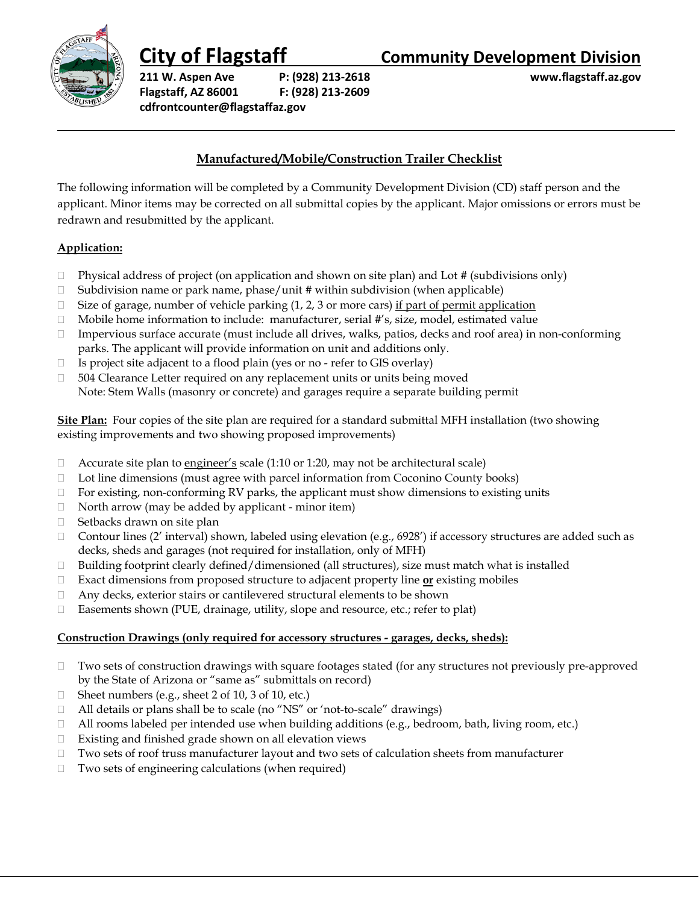

**211 W. Aspen Ave P: (928) 213-2618 www.flagstaff.az.gov Flagstaff, AZ 86001 F: (928) 213-2609 cdfrontcounter@flagstaffaz.gov**

# **City of Flagstaff Community Development Division**

# **Manufactured/Mobile/Construction Trailer Checklist**

The following information will be completed by a Community Development Division (CD) staff person and the applicant. Minor items may be corrected on all submittal copies by the applicant. Major omissions or errors must be redrawn and resubmitted by the applicant.

## **Application:**

- $\Box$  Physical address of project (on application and shown on site plan) and Lot # (subdivisions only)
- $\square$  Subdivision name or park name, phase/unit # within subdivision (when applicable)
- $\Box$  Size of garage, number of vehicle parking (1, 2, 3 or more cars) if part of permit application
- □ Mobile home information to include: manufacturer, serial #'s, size, model, estimated value
- $\Box$  Impervious surface accurate (must include all drives, walks, patios, decks and roof area) in non-conforming parks. The applicant will provide information on unit and additions only.
- $\Box$  Is project site adjacent to a flood plain (yes or no refer to GIS overlay)
- $\Box$  504 Clearance Letter required on any replacement units or units being moved Note: Stem Walls (masonry or concrete) and garages require a separate building permit

**Site Plan:** Four copies of the site plan are required for a standard submittal MFH installation (two showing existing improvements and two showing proposed improvements)

- $\Box$  Accurate site plan to engineer's scale (1:10 or 1:20, may not be architectural scale)
- $\Box$  Lot line dimensions (must agree with parcel information from Coconino County books)
- $\Box$  For existing, non-conforming RV parks, the applicant must show dimensions to existing units
- $\Box$  North arrow (may be added by applicant minor item)
- □ Setbacks drawn on site plan
- Contour lines (2' interval) shown, labeled using elevation (e.g., 6928') if accessory structures are added such as decks, sheds and garages (not required for installation, only of MFH)
- $\Box$  Building footprint clearly defined/dimensioned (all structures), size must match what is installed
- Exact dimensions from proposed structure to adjacent property line **or** existing mobiles
- Any decks, exterior stairs or cantilevered structural elements to be shown
- □ Easements shown (PUE, drainage, utility, slope and resource, etc.; refer to plat)

### **Construction Drawings (only required for accessory structures - garages, decks, sheds):**

- Two sets of construction drawings with square footages stated (for any structures not previously pre-approved by the State of Arizona or "same as" submittals on record)
- $\Box$  Sheet numbers (e.g., sheet 2 of 10, 3 of 10, etc.)
- $\Box$  All details or plans shall be to scale (no "NS" or 'not-to-scale" drawings)
- $\Box$  All rooms labeled per intended use when building additions (e.g., bedroom, bath, living room, etc.)
- Existing and finished grade shown on all elevation views
- Two sets of roof truss manufacturer layout and two sets of calculation sheets from manufacturer
- $\Box$  Two sets of engineering calculations (when required)